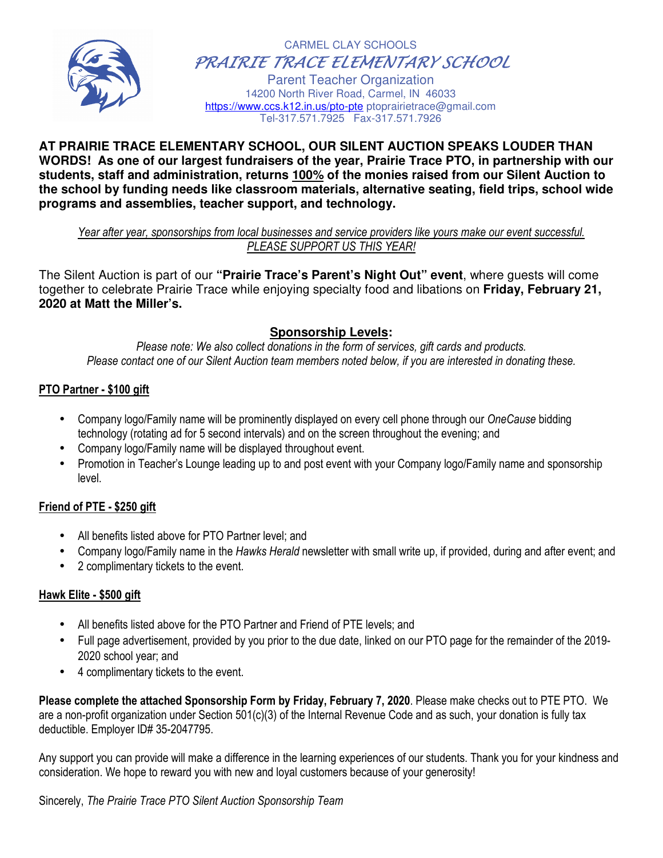

 CARMEL CLAY SCHOOLS PRAIRIE TRACE ELEMENTARY SCHOOL

Parent Teacher Organization 14200 North River Road, Carmel, IN 46033 https://www.ccs.k12.in.us/pto-pte ptoprairietrace@gmail.com Tel-317.571.7925 Fax-317.571.7926

#### **AT PRAIRIE TRACE ELEMENTARY SCHOOL, OUR SILENT AUCTION SPEAKS LOUDER THAN WORDS! As one of our largest fundraisers of the year, Prairie Trace PTO, in partnership with our students, staff and administration, returns 100% of the monies raised from our Silent Auction to the school by funding needs like classroom materials, alternative seating, field trips, school wide programs and assemblies, teacher support, and technology.**

*Year after year, sponsorships from local businesses and service providers like yours make our event successful. PLEASE SUPPORT US THIS YEAR!* 

The Silent Auction is part of our **"Prairie Trace's Parent's Night Out" event**, where guests will come together to celebrate Prairie Trace while enjoying specialty food and libations on **Friday, February 21, 2020 at Matt the Miller's.**

## **Sponsorship Levels:**

*Please note: We also collect donations in the form of services, gift cards and products. Please contact one of our Silent Auction team members noted below, if you are interested in donating these.* 

## **PTO Partner - \$100 gift**

- Company logo/Family name will be prominently displayed on every cell phone through our *OneCause* bidding technology (rotating ad for 5 second intervals) and on the screen throughout the evening; and
- Company logo/Family name will be displayed throughout event.
- Promotion in Teacher's Lounge leading up to and post event with your Company logo/Family name and sponsorship level.

## **Friend of PTE - \$250 gift**

- All benefits listed above for PTO Partner level; and
- Company logo/Family name in the *Hawks Herald* newsletter with small write up, if provided, during and after event; and
- 2 complimentary tickets to the event.

## **Hawk Elite - \$500 gift**

- All benefits listed above for the PTO Partner and Friend of PTE levels; and
- Full page advertisement, provided by you prior to the due date, linked on our PTO page for the remainder of the 2019- 2020 school year; and
- 4 complimentary tickets to the event.

**Please complete the attached Sponsorship Form by Friday, February 7, 2020**. Please make checks out to PTE PTO. We are a non-profit organization under Section 501(c)(3) of the Internal Revenue Code and as such, your donation is fully tax deductible. Employer ID# 35-2047795.

Any support you can provide will make a difference in the learning experiences of our students. Thank you for your kindness and consideration. We hope to reward you with new and loyal customers because of your generosity!

Sincerely, *The Prairie Trace PTO Silent Auction Sponsorship Team*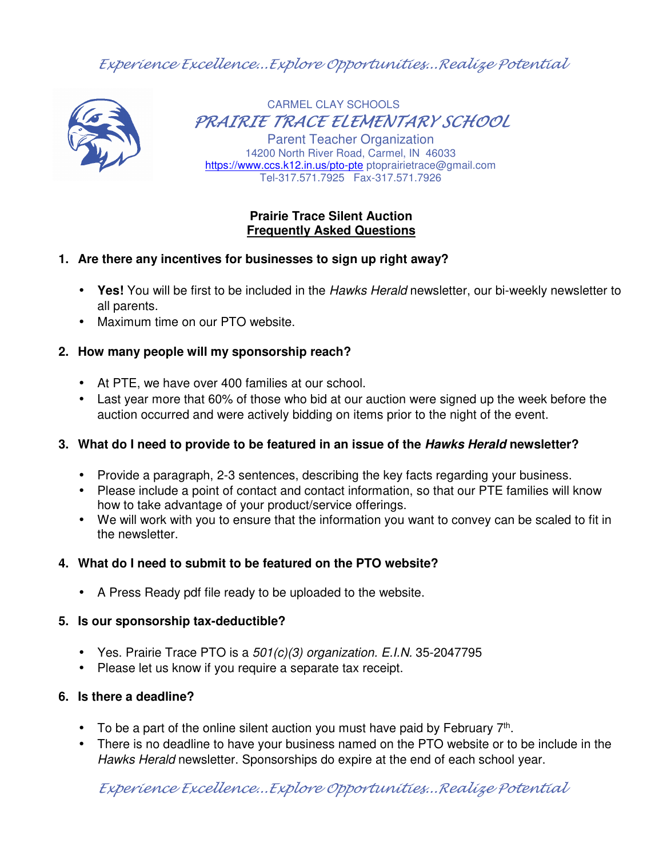Experience Excellence...Explore Opportunities...Realize Potential



CARMEL CLAY SCHOOLS PRAIRIE TRACE ELEMENTARY SCHOOL

Parent Teacher Organization 14200 North River Road, Carmel, IN 46033 https://www.ccs.k12.in.us/pto-pte ptoprairietrace@gmail.com Tel-317.571.7925 Fax-317.571.7926

## **Prairie Trace Silent Auction Frequently Asked Questions**

## **1. Are there any incentives for businesses to sign up right away?**

- **Yes!** You will be first to be included in the Hawks Herald newsletter, our bi-weekly newsletter to all parents.
- Maximum time on our PTO website.

## **2. How many people will my sponsorship reach?**

- At PTE, we have over 400 families at our school.
- Last year more that 60% of those who bid at our auction were signed up the week before the auction occurred and were actively bidding on items prior to the night of the event.

# **3. What do I need to provide to be featured in an issue of the Hawks Herald newsletter?**

- Provide a paragraph, 2-3 sentences, describing the key facts regarding your business.
- Please include a point of contact and contact information, so that our PTE families will know how to take advantage of your product/service offerings.
- We will work with you to ensure that the information you want to convey can be scaled to fit in the newsletter.

# **4. What do I need to submit to be featured on the PTO website?**

• A Press Ready pdf file ready to be uploaded to the website.

## **5. Is our sponsorship tax-deductible?**

- Yes. Prairie Trace PTO is a  $501(c)(3)$  organization. E.I.N. 35-2047795
- Please let us know if you require a separate tax receipt.

# **6. Is there a deadline?**

- To be a part of the online silent auction you must have paid by February  $7<sup>th</sup>$ .
- There is no deadline to have your business named on the PTO website or to be include in the Hawks Herald newsletter. Sponsorships do expire at the end of each school year.

Experience Excellence...Explore Opportunities...Realize Potential